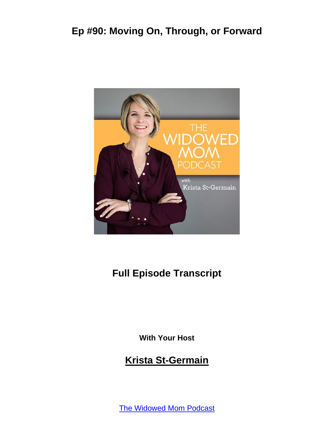

## **Full Episode Transcript**

**With Your Host**

#### **Krista St-Germain**

The [Widowed](https://coachingwithkrista.com/podcast) Mom Podcast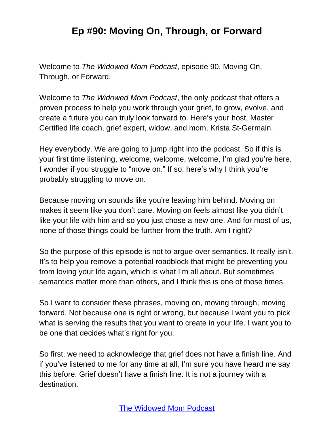Welcome to *The Widowed Mom Podcast*, episode 90, Moving On, Through, or Forward.

Welcome to *The Widowed Mom Podcast*, the only podcast that offers a proven process to help you work through your grief, to grow, evolve, and create a future you can truly look forward to. Here's your host, Master Certified life coach, grief expert, widow, and mom, Krista St-Germain.

Hey everybody. We are going to jump right into the podcast. So if this is your first time listening, welcome, welcome, welcome, I'm glad you're here. I wonder if you struggle to "move on." If so, here's why I think you're probably struggling to move on.

Because moving on sounds like you're leaving him behind. Moving on makes it seem like you don't care. Moving on feels almost like you didn't like your life with him and so you just chose a new one. And for most of us, none of those things could be further from the truth. Am I right?

So the purpose of this episode is not to argue over semantics. It really isn't. It's to help you remove a potential roadblock that might be preventing you from loving your life again, which is what I'm all about. But sometimes semantics matter more than others, and I think this is one of those times.

So I want to consider these phrases, moving on, moving through, moving forward. Not because one is right or wrong, but because I want you to pick what is serving the results that you want to create in your life. I want you to be one that decides what's right for you.

So first, we need to acknowledge that grief does not have a finish line. And if you've listened to me for any time at all, I'm sure you have heard me say this before. Grief doesn't have a finish line. It is not a journey with a destination.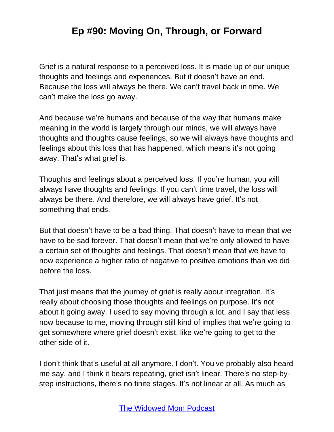Grief is a natural response to a perceived loss. It is made up of our unique thoughts and feelings and experiences. But it doesn't have an end. Because the loss will always be there. We can't travel back in time. We can't make the loss go away.

And because we're humans and because of the way that humans make meaning in the world is largely through our minds, we will always have thoughts and thoughts cause feelings, so we will always have thoughts and feelings about this loss that has happened, which means it's not going away. That's what grief is.

Thoughts and feelings about a perceived loss. If you're human, you will always have thoughts and feelings. If you can't time travel, the loss will always be there. And therefore, we will always have grief. It's not something that ends.

But that doesn't have to be a bad thing. That doesn't have to mean that we have to be sad forever. That doesn't mean that we're only allowed to have a certain set of thoughts and feelings. That doesn't mean that we have to now experience a higher ratio of negative to positive emotions than we did before the loss.

That just means that the journey of grief is really about integration. It's really about choosing those thoughts and feelings on purpose. It's not about it going away. I used to say moving through a lot, and I say that less now because to me, moving through still kind of implies that we're going to get somewhere where grief doesn't exist, like we're going to get to the other side of it.

I don't think that's useful at all anymore. I don't. You've probably also heard me say, and I think it bears repeating, grief isn't linear. There's no step-bystep instructions, there's no finite stages. It's not linear at all. As much as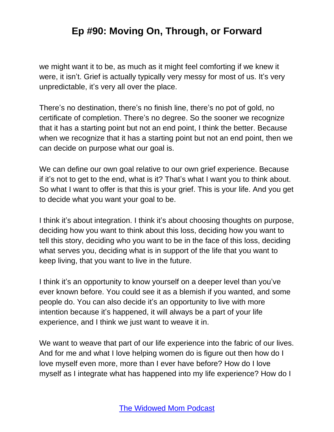we might want it to be, as much as it might feel comforting if we knew it were, it isn't. Grief is actually typically very messy for most of us. It's very unpredictable, it's very all over the place.

There's no destination, there's no finish line, there's no pot of gold, no certificate of completion. There's no degree. So the sooner we recognize that it has a starting point but not an end point, I think the better. Because when we recognize that it has a starting point but not an end point, then we can decide on purpose what our goal is.

We can define our own goal relative to our own grief experience. Because if it's not to get to the end, what is it? That's what I want you to think about. So what I want to offer is that this is your grief. This is your life. And you get to decide what you want your goal to be.

I think it's about integration. I think it's about choosing thoughts on purpose, deciding how you want to think about this loss, deciding how you want to tell this story, deciding who you want to be in the face of this loss, deciding what serves you, deciding what is in support of the life that you want to keep living, that you want to live in the future.

I think it's an opportunity to know yourself on a deeper level than you've ever known before. You could see it as a blemish if you wanted, and some people do. You can also decide it's an opportunity to live with more intention because it's happened, it will always be a part of your life experience, and I think we just want to weave it in.

We want to weave that part of our life experience into the fabric of our lives. And for me and what I love helping women do is figure out then how do I love myself even more, more than I ever have before? How do I love myself as I integrate what has happened into my life experience? How do I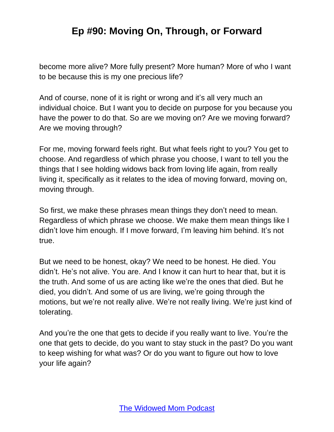become more alive? More fully present? More human? More of who I want to be because this is my one precious life?

And of course, none of it is right or wrong and it's all very much an individual choice. But I want you to decide on purpose for you because you have the power to do that. So are we moving on? Are we moving forward? Are we moving through?

For me, moving forward feels right. But what feels right to you? You get to choose. And regardless of which phrase you choose, I want to tell you the things that I see holding widows back from loving life again, from really living it, specifically as it relates to the idea of moving forward, moving on, moving through.

So first, we make these phrases mean things they don't need to mean. Regardless of which phrase we choose. We make them mean things like I didn't love him enough. If I move forward, I'm leaving him behind. It's not true.

But we need to be honest, okay? We need to be honest. He died. You didn't. He's not alive. You are. And I know it can hurt to hear that, but it is the truth. And some of us are acting like we're the ones that died. But he died, you didn't. And some of us are living, we're going through the motions, but we're not really alive. We're not really living. We're just kind of tolerating.

And you're the one that gets to decide if you really want to live. You're the one that gets to decide, do you want to stay stuck in the past? Do you want to keep wishing for what was? Or do you want to figure out how to love your life again?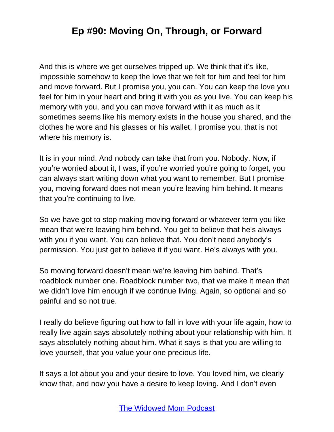And this is where we get ourselves tripped up. We think that it's like, impossible somehow to keep the love that we felt for him and feel for him and move forward. But I promise you, you can. You can keep the love you feel for him in your heart and bring it with you as you live. You can keep his memory with you, and you can move forward with it as much as it sometimes seems like his memory exists in the house you shared, and the clothes he wore and his glasses or his wallet, I promise you, that is not where his memory is.

It is in your mind. And nobody can take that from you. Nobody. Now, if you're worried about it, I was, if you're worried you're going to forget, you can always start writing down what you want to remember. But I promise you, moving forward does not mean you're leaving him behind. It means that you're continuing to live.

So we have got to stop making moving forward or whatever term you like mean that we're leaving him behind. You get to believe that he's always with you if you want. You can believe that. You don't need anybody's permission. You just get to believe it if you want. He's always with you.

So moving forward doesn't mean we're leaving him behind. That's roadblock number one. Roadblock number two, that we make it mean that we didn't love him enough if we continue living. Again, so optional and so painful and so not true.

I really do believe figuring out how to fall in love with your life again, how to really live again says absolutely nothing about your relationship with him. It says absolutely nothing about him. What it says is that you are willing to love yourself, that you value your one precious life.

It says a lot about you and your desire to love. You loved him, we clearly know that, and now you have a desire to keep loving. And I don't even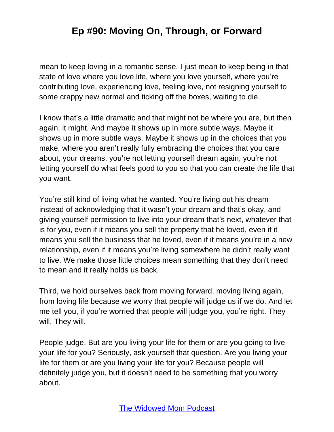mean to keep loving in a romantic sense. I just mean to keep being in that state of love where you love life, where you love yourself, where you're contributing love, experiencing love, feeling love, not resigning yourself to some crappy new normal and ticking off the boxes, waiting to die.

I know that's a little dramatic and that might not be where you are, but then again, it might. And maybe it shows up in more subtle ways. Maybe it shows up in more subtle ways. Maybe it shows up in the choices that you make, where you aren't really fully embracing the choices that you care about, your dreams, you're not letting yourself dream again, you're not letting yourself do what feels good to you so that you can create the life that you want.

You're still kind of living what he wanted. You're living out his dream instead of acknowledging that it wasn't your dream and that's okay, and giving yourself permission to live into your dream that's next, whatever that is for you, even if it means you sell the property that he loved, even if it means you sell the business that he loved, even if it means you're in a new relationship, even if it means you're living somewhere he didn't really want to live. We make those little choices mean something that they don't need to mean and it really holds us back.

Third, we hold ourselves back from moving forward, moving living again, from loving life because we worry that people will judge us if we do. And let me tell you, if you're worried that people will judge you, you're right. They will. They will.

People judge. But are you living your life for them or are you going to live your life for you? Seriously, ask yourself that question. Are you living your life for them or are you living your life for you? Because people will definitely judge you, but it doesn't need to be something that you worry about.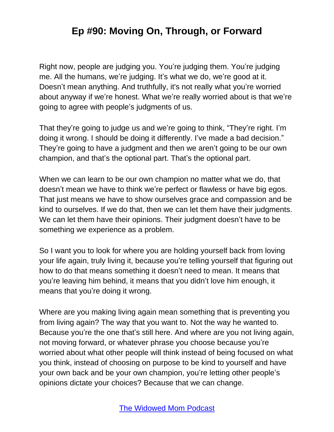Right now, people are judging you. You're judging them. You're judging me. All the humans, we're judging. It's what we do, we're good at it. Doesn't mean anything. And truthfully, it's not really what you're worried about anyway if we're honest. What we're really worried about is that we're going to agree with people's judgments of us.

That they're going to judge us and we're going to think, "They're right. I'm doing it wrong. I should be doing it differently. I've made a bad decision." They're going to have a judgment and then we aren't going to be our own champion, and that's the optional part. That's the optional part.

When we can learn to be our own champion no matter what we do, that doesn't mean we have to think we're perfect or flawless or have big egos. That just means we have to show ourselves grace and compassion and be kind to ourselves. If we do that, then we can let them have their judgments. We can let them have their opinions. Their judgment doesn't have to be something we experience as a problem.

So I want you to look for where you are holding yourself back from loving your life again, truly living it, because you're telling yourself that figuring out how to do that means something it doesn't need to mean. It means that you're leaving him behind, it means that you didn't love him enough, it means that you're doing it wrong.

Where are you making living again mean something that is preventing you from living again? The way that you want to. Not the way he wanted to. Because you're the one that's still here. And where are you not living again, not moving forward, or whatever phrase you choose because you're worried about what other people will think instead of being focused on what you think, instead of choosing on purpose to be kind to yourself and have your own back and be your own champion, you're letting other people's opinions dictate your choices? Because that we can change.